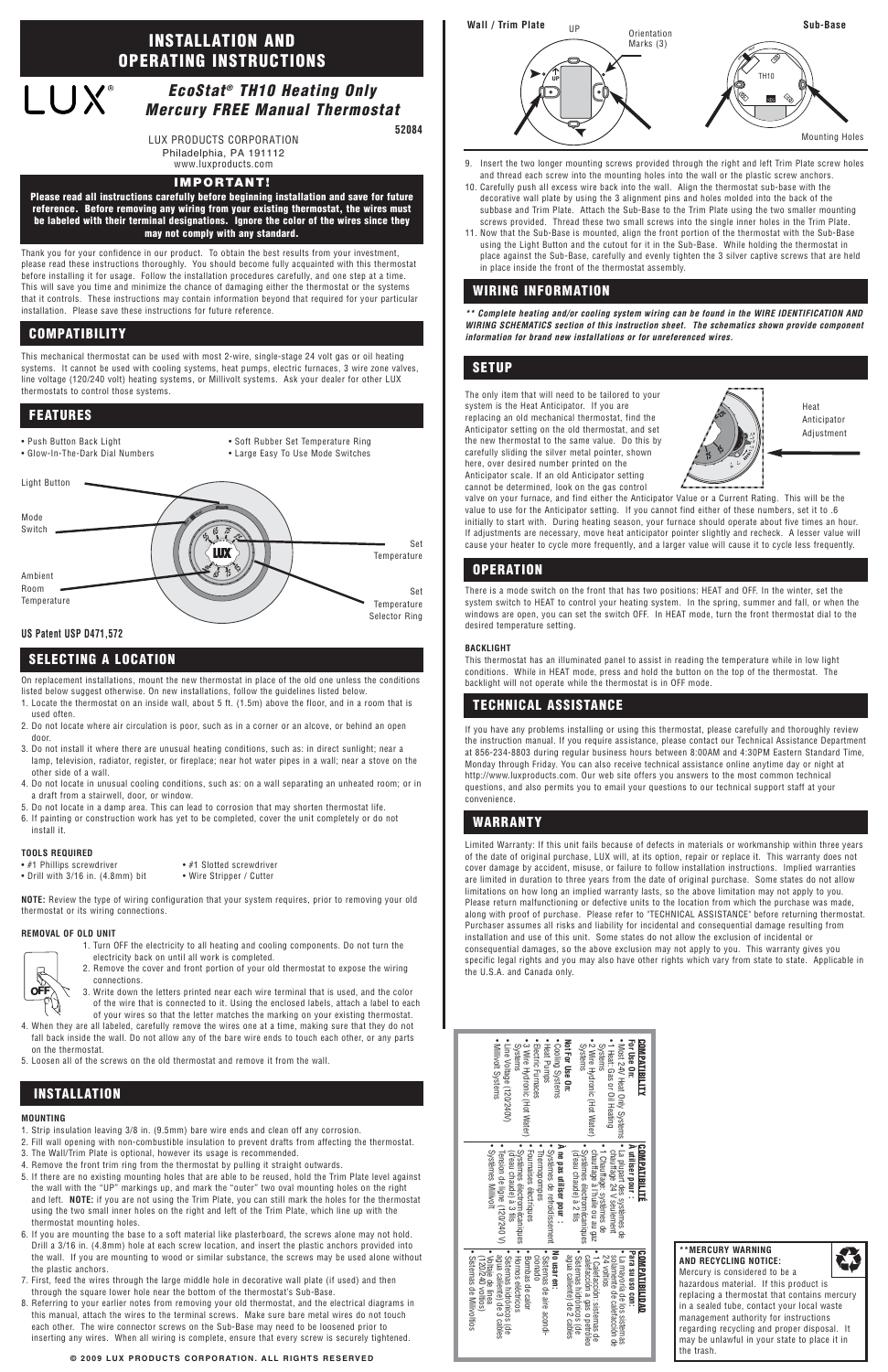### **© 2009 LUX PRODUCTS CORPORATION. ALL RIGHTS RESERVED**

Thank you for your confidence in our product. To obtain the best results from your investment, please read these instructions thoroughly. You should become fully acquainted with this thermostat before installing it for usage. Follow the installation procedures carefully, and one step at a time. This will save you time and minimize the chance of damaging either the thermostat or the systems that it controls. These instructions may contain information beyond that required for your particular installation. Please save these instructions for future reference.

This mechanical thermostat can be used with most 2-wire, single-stage 24 volt gas or oil heating systems. It cannot be used with cooling systems, heat pumps, electric furnaces, 3 wire zone valves, line voltage (120/240 volt) heating systems, or Millivolt systems. Ask your dealer for other LUX thermostats to control those systems.

On replacement installations, mount the new thermostat in place of the old one unless the conditions listed below suggest otherwise. On new installations, follow the guidelines listed below.

- 1. Locate the thermostat on an inside wall, about 5 ft. (1.5m) above the floor, and in a room that is used often.
- 2. Do not locate where air circulation is poor, such as in a corner or an alcove, or behind an open door.
- 3. Do not install it where there are unusual heating conditions, such as: in direct sunlight; near a lamp, television, radiator, register, or fireplace; near hot water pipes in a wall; near a stove on the other side of a wall.
- 4. Do not locate in unusual cooling conditions, such as: on a wall separating an unheated room; or in a draft from a stairwell, door, or window.
- 5. Do not locate in a damp area. This can lead to corrosion that may shorten thermostat life.
- 6. If painting or construction work has yet to be completed, cover the unit completely or do not install it.

## **TOOLS REQUIRED**

• #1 Phillips screwdriver • #1 Slotted screwdriver

• Drill with 3/16 in. (4.8mm) bit • Wire Stripper / Cutter

**NOTE:** Review the type of wiring configuration that your system requires, prior to removing your old thermostat or its wiring connections.

## **REMOVAL OF OLD UNIT**

- 1. Turn OFF the electricity to all heating and cooling components. Do not turn the electricity back on until all work is completed.
- 2. Remove the cover and front portion of your old thermostat to expose the wiring connections.
- 3. Write down the letters printed near each wire terminal that is used, and the color of the wire that is connected to it. Using the enclosed labels, attach a label to each of your wires so that the letter matches the marking on your existing thermostat.

4. When they are all labeled, carefully remove the wires one at a time, making sure that they do not fall back inside the wall. Do not allow any of the bare wire ends to touch each other, or any parts

on the thermostat.

## 5. Loosen all of the screws on the old thermostat and remove it from the wall.

## **MOUNTING**

- 1. Strip insulation leaving 3/8 in. (9.5mm) bare wire ends and clean off any corrosion.
- 2. Fill wall opening with non-combustible insulation to prevent drafts from affecting the thermostat.
- 3. The Wall/Trim Plate is optional, however its usage is recommended.
- 4. Remove the front trim ring from the thermostat by pulling it straight outwards.
- 5. If there are no existing mounting holes that are able to be reused, hold the Trim Plate level against the wall with the "UP" markings up, and mark the "outer" two oval mounting holes on the right and left. **NOTE:** if you are not using the Trim Plate, you can still mark the holes for the thermostat using the two small inner holes on the right and left of the Trim Plate, which line up with the thermostat mounting holes.
- 6. If you are mounting the base to a soft material like plasterboard, the screws alone may not hold. Drill a 3/16 in. (4.8mm) hole at each screw location, and insert the plastic anchors provided into the wall. If you are mounting to wood or similar substance, the screws may be used alone without the plastic anchors.
- 7. First, feed the wires through the large middle hole in decorative wall plate (if used) and then through the square lower hole near the bottom of the thermostat's Sub-Base.
- 8. Referring to your earlier notes from removing your old thermostat, and the electrical diagrams in this manual, attach the wires to the terminal screws. Make sure bare metal wires do not touch each other. The wire connector screws on the Sub-Base may need to be loosened prior to inserting any wires. When all wiring is complete, ensure that every screw is securely tightened.



9. Insert the two longer mounting screws provided through the right and left Trim Plate screw holes and thread each screw into the mounting holes into the wall or the plastic screw anchors.

- Most 24V Heat Only Systems For Use On:<br>• Most 24V Heat Only Systems<br>• 1 Heat: Gas or Oil Heating<br>Systems
	- 1 Heat: Gas or Oil Heating
- 2 Wire Hydronic (Hot<br>Systems • 2 Wire Hydronic (Hot Water) : Water)

## **For Use On: COMPATIBILITY SOMPATIBILITY**

- 10. Carefully push all excess wire back into the wall. Align the thermostat sub-base with the decorative wall plate by using the 3 alignment pins and holes molded into the back of the subbase and Trim Plate. Attach the Sub-Base to the Trim Plate using the two smaller mounting screws provided. Thread these two small screws into the single inner holes in the Trim Plate.
- 11. Now that the Sub-Base is mounted, align the front portion of the thermostat with the Sub-Base using the Light Button and the cutout for it in the Sub-Base. While holding the thermostat in place against the Sub-Base, carefully and evenly tighten the 3 silver captive screws that are held in place inside the front of the thermostat assembly.

# • Systèmes Millivolt · Tension de ligne (120/240 V)<br>• Systèmes Millivolt

À ne pas utiliser pour :

- 
- 
- 
- Fournaises électriques
- 
- Systèmes électromécaniques Systèmes électrom<br>(d'eau chaude) à 3 (d'eau chaude) à 3 fils
- Tension de ligne (120/240 V)
- 

## **COMPATIBILIDAD**<br> **Para su uso con:**<br> **Para su uso con:**<br> **Para su uso con:**<br> **Para su uso con:**<br> **Para su uso con:**<br> *A* voltice de calefacción a gas o petróleo<br> **Para calemte)** de 2 cables<br> **Para calemte)** de 2 cables<br> **No usar en:** No usar en:<br>• Sistemas de aire acondi-<br>cionado • Bombas de calor

- 
- Bombas de calor
- Hornos eléctricos • Sistemas hidrónicos (de • Hornos eléctricos
- Sistemas hidrónicos (de<br>agua caliente) de 3 cables
- 
- 

- Not For Use On:<br>• Cooling Systems • Cooling Systems
- Heat Pumps Heat Pumps
- · Electric Furnaces • Electric Furnaces
- 3 Wire Hydronic (Hot Water) 3 Wire Hydronic (Hot Water)<br>Systems
- Line Voltage (120/240V)
- Millivolt Systems Line Voltage (120/240V)<br>Millivolt Systems
- Voltaje de línea
- Sistemas de Milivoltios Sistemas de Milivoltios
- Sistemas de aire acondi-
- 
- agua caliente) de 3 cables
- 
- 
- 
- 
- 
- 

**\*\* Complete heating and/or cooling system wiring can be found in the WIRE IDENTIFICATION AND WIRING SCHEMATICS section of this instruction sheet. The schematics shown provide component information for brand new installations or for unreferenced wires.**

The only item that will need to be tailored to your system is the Heat Anticipator. If you are replacing an old mechanical thermostat, find the Anticipator setting on the old thermostat, and set the new thermostat to the same value. Do this by carefully sliding the silver metal pointer, shown here, over desired number printed on the Anticipator scale. If an old Anticipator setting cannot be determined, look on the gas control

valve on your furnace, and find either the Anticipator Value or a Current Rating. This will be the value to use for the Anticipator setting. If you cannot find either of these numbers, set it to .6 initially to start with. During heating season, your furnace should operate about five times an hour. If adjustments are necessary, move heat anticipator pointer slightly and recheck. A lesser value will cause your heater to cycle more frequently, and a larger value will cause it to cycle less frequently.

There is a mode switch on the front that has two positions: HEAT and OFF. In the winter, set the system switch to HEAT to control your heating system. In the spring, summer and fall, or when the windows are open, you can set the switch OFF. In HEAT mode, turn the front thermostat dial to the desired temperature setting.

## **BACKLIGHT**

This thermostat has an illuminated panel to assist in reading the temperature while in low light conditions. While in HEAT mode, press and hold the button on the top of the thermostat. The backlight will not operate while the thermostat is in OFF mode.

If you have any problems installing or using this thermostat, please carefully and thoroughly review the instruction manual. If you require assistance, please contact our Technical Assistance Department at 856-234-8803 during regular business hours between 8:00AM and 4:30PM Eastern Standard Time, Monday through Friday. You can also receive technical assistance online anytime day or night at http://www.luxproducts.com. Our web site offers you answers to the most common technical questions, and also permits you to email your questions to our technical support staff at your convenience.

Limited Warranty: If this unit fails because of defects in materials or workmanship within three years of the date of original purchase, LUX will, at its option, repair or replace it. This warranty does not cover damage by accident, misuse, or failure to follow installation instructions. Implied warranties are limited in duration to three years from the date of original purchase. Some states do not allow limitations on how long an implied warranty lasts, so the above limitation may not apply to you. Please return malfunctioning or defective units to the location from which the purchase was made, along with proof of purchase. Please refer to "TECHNICAL ASSISTANCE" before returning thermostat. Purchaser assumes all risks and liability for incidental and consequential damage resulting from installation and use of this unit. Some states do not allow the exclusion of incidental or consequential damages, so the above exclusion may not apply to you. This warranty gives you specific legal rights and you may also have other rights which vary from state to state. Applicable in the U.S.A. and Canada only.

## **COMPATIBILITY**

## **INSTALLATION**

## **SELECTING A LOCATION**

## **TECHNICAL ASSISTANCE**

## **WARRANTY**

## **OPERATION**

## **WIRING INFORMATION**

## **FEATURES**

## **SETUP**

## **EcoStat® TH10 Heating Only Mercury FREE Manual Thermostat**

## **INSTALLATION AND OPERATING INSTRUCTIONS**

# **LUX®**

## **IMPORTANT!**

**Please read all instructions carefully before beginning installation and save for future reference. Before removing any wiring from your existing thermostat, the wires must be labeled with their terminal designations. Ignore the color of the wires since they may not comply with any standard.**

**52084**

- Push Button Back Light
- Glow-In-The-Dark Dial Numbers
- Soft Rubber Set Temperature Ring • Large Easy To Use Mode Switches





## **US Patent USP D471,572**



# **Not For Use On:**

- **À utiliser pour : COMPATIBILITÉ COMPATIBILITÉ** utiliser pour:
- La plupart des systèmes de
- chauffage 24 V seulement
- $\begin{vmatrix} \mathbf{s} & \mathbf{t} \\ \mathbf{t} & \mathbf{t} \end{vmatrix}$  a plupart des systèmes de chauffage : 878 beulement<br>chauffage : 878 beulement<br>**1** chauffage : 878 beunes de<br>**1** chauffage à l'huile ou au gaz<br>**1** • 1 Chauffage: systèmes de
- chauffage à l'huile ou au gaz • Systèmes électromécaniques
- 
- $\bullet$  1 Chauffage: systèmes de<br>chauffage à l'huile ou au gaz<br> $\bullet$  Systèmes électromécaniques<br>(d'eau chaude) à 2 fils
- 
- (d'eau chaude) à 2 fils
- **À ne pas utiliser pour :**

- 
- 
- 
- Systèmes de refroidissement de refroidissement
- Systèmes de refr<br>• Thermopompes
- Fournaises électriques • Thermopompes
- 
- 
- 
- 

- 
- 

• La mayoría de los sistemas **Para su uso con: COMPATIBILIDAD**

solamente de calefacción de • 1 Calefacción: sistemas de calefacción a gas o petróleo • Sistemas hidrónicos (de agua caliente) de 2 cables

- (120/240 voltios)
- 

- v Voltaje de línea<br>(120/240 voltios)
- 
- 
- 
- récaniques<br>fils
- 
- 
- 
- 
- 
- 



LUX PRODUCTS CORPORATION Philadelphia, PA 191112 www.luxproducts.com

> **\*\*MERCURY WARNING AND RECYCLING NOTICE:** Mercury is considered to be a hazardous material. If this product is replacing a thermostat that contains mercury in a sealed tube, contact your local waste management authority for instructions regarding recycling and proper disposal. It may be unlawful in your state to place it in the trash.